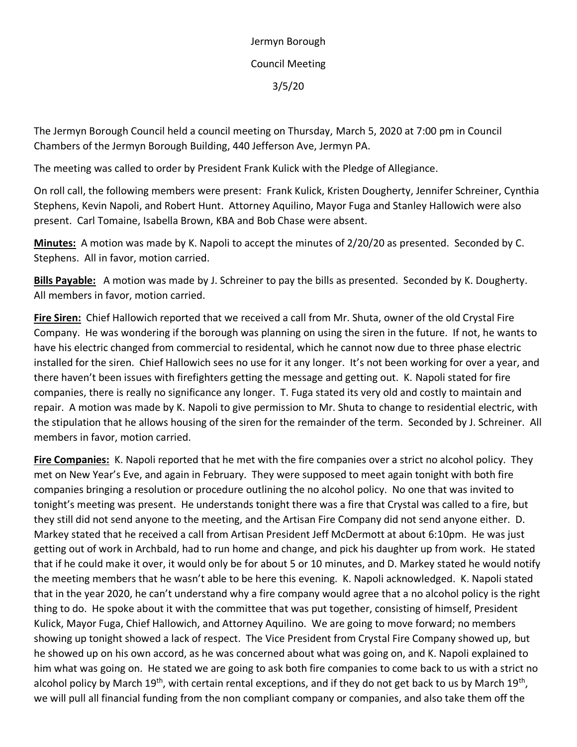Jermyn Borough Council Meeting 3/5/20

The Jermyn Borough Council held a council meeting on Thursday, March 5, 2020 at 7:00 pm in Council Chambers of the Jermyn Borough Building, 440 Jefferson Ave, Jermyn PA.

The meeting was called to order by President Frank Kulick with the Pledge of Allegiance.

On roll call, the following members were present: Frank Kulick, Kristen Dougherty, Jennifer Schreiner, Cynthia Stephens, Kevin Napoli, and Robert Hunt. Attorney Aquilino, Mayor Fuga and Stanley Hallowich were also present. Carl Tomaine, Isabella Brown, KBA and Bob Chase were absent.

**Minutes:** A motion was made by K. Napoli to accept the minutes of 2/20/20 as presented. Seconded by C. Stephens. All in favor, motion carried.

**Bills Payable:** A motion was made by J. Schreiner to pay the bills as presented. Seconded by K. Dougherty. All members in favor, motion carried.

**Fire Siren:** Chief Hallowich reported that we received a call from Mr. Shuta, owner of the old Crystal Fire Company. He was wondering if the borough was planning on using the siren in the future. If not, he wants to have his electric changed from commercial to residental, which he cannot now due to three phase electric installed for the siren. Chief Hallowich sees no use for it any longer. It's not been working for over a year, and there haven't been issues with firefighters getting the message and getting out. K. Napoli stated for fire companies, there is really no significance any longer. T. Fuga stated its very old and costly to maintain and repair. A motion was made by K. Napoli to give permission to Mr. Shuta to change to residential electric, with the stipulation that he allows housing of the siren for the remainder of the term. Seconded by J. Schreiner. All members in favor, motion carried.

**Fire Companies:** K. Napoli reported that he met with the fire companies over a strict no alcohol policy. They met on New Year's Eve, and again in February. They were supposed to meet again tonight with both fire companies bringing a resolution or procedure outlining the no alcohol policy. No one that was invited to tonight's meeting was present. He understands tonight there was a fire that Crystal was called to a fire, but they still did not send anyone to the meeting, and the Artisan Fire Company did not send anyone either. D. Markey stated that he received a call from Artisan President Jeff McDermott at about 6:10pm. He was just getting out of work in Archbald, had to run home and change, and pick his daughter up from work. He stated that if he could make it over, it would only be for about 5 or 10 minutes, and D. Markey stated he would notify the meeting members that he wasn't able to be here this evening. K. Napoli acknowledged. K. Napoli stated that in the year 2020, he can't understand why a fire company would agree that a no alcohol policy is the right thing to do. He spoke about it with the committee that was put together, consisting of himself, President Kulick, Mayor Fuga, Chief Hallowich, and Attorney Aquilino. We are going to move forward; no members showing up tonight showed a lack of respect. The Vice President from Crystal Fire Company showed up, but he showed up on his own accord, as he was concerned about what was going on, and K. Napoli explained to him what was going on. He stated we are going to ask both fire companies to come back to us with a strict no alcohol policy by March 19<sup>th</sup>, with certain rental exceptions, and if they do not get back to us by March 19<sup>th</sup>, we will pull all financial funding from the non compliant company or companies, and also take them off the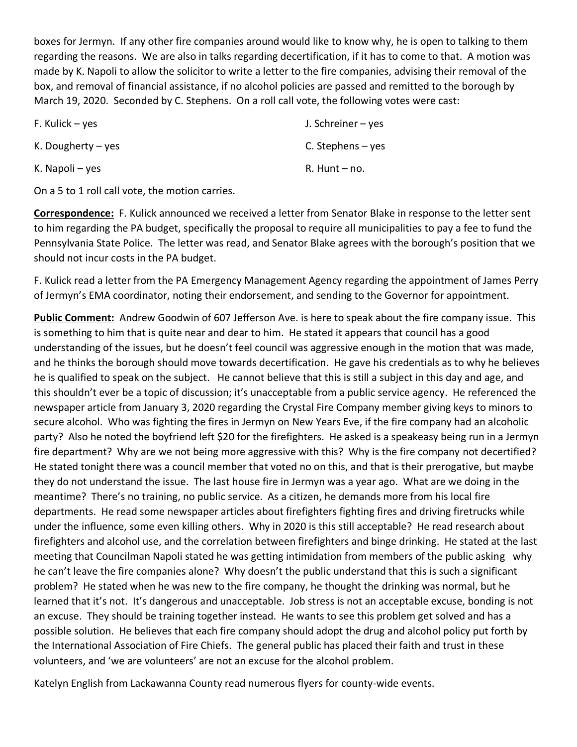boxes for Jermyn. If any other fire companies around would like to know why, he is open to talking to them regarding the reasons. We are also in talks regarding decertification, if it has to come to that. A motion was made by K. Napoli to allow the solicitor to write a letter to the fire companies, advising their removal of the box, and removal of financial assistance, if no alcohol policies are passed and remitted to the borough by March 19, 2020. Seconded by C. Stephens. On a roll call vote, the following votes were cast:

| F. Kulick – yes      | J. Schreiner – yes  |
|----------------------|---------------------|
| K. Dougherty $-$ yes | C. Stephens $-$ yes |
| K. Napoli – yes      | $R.$ Hunt $-$ no.   |

On a 5 to 1 roll call vote, the motion carries.

**Correspondence:** F. Kulick announced we received a letter from Senator Blake in response to the letter sent to him regarding the PA budget, specifically the proposal to require all municipalities to pay a fee to fund the Pennsylvania State Police. The letter was read, and Senator Blake agrees with the borough's position that we should not incur costs in the PA budget.

F. Kulick read a letter from the PA Emergency Management Agency regarding the appointment of James Perry of Jermyn's EMA coordinator, noting their endorsement, and sending to the Governor for appointment.

**Public Comment:** Andrew Goodwin of 607 Jefferson Ave. is here to speak about the fire company issue. This is something to him that is quite near and dear to him. He stated it appears that council has a good understanding of the issues, but he doesn't feel council was aggressive enough in the motion that was made, and he thinks the borough should move towards decertification. He gave his credentials as to why he believes he is qualified to speak on the subject. He cannot believe that this is still a subject in this day and age, and this shouldn't ever be a topic of discussion; it's unacceptable from a public service agency. He referenced the newspaper article from January 3, 2020 regarding the Crystal Fire Company member giving keys to minors to secure alcohol. Who was fighting the fires in Jermyn on New Years Eve, if the fire company had an alcoholic party? Also he noted the boyfriend left \$20 for the firefighters. He asked is a speakeasy being run in a Jermyn fire department? Why are we not being more aggressive with this? Why is the fire company not decertified? He stated tonight there was a council member that voted no on this, and that is their prerogative, but maybe they do not understand the issue. The last house fire in Jermyn was a year ago. What are we doing in the meantime? There's no training, no public service. As a citizen, he demands more from his local fire departments. He read some newspaper articles about firefighters fighting fires and driving firetrucks while under the influence, some even killing others. Why in 2020 is this still acceptable? He read research about firefighters and alcohol use, and the correlation between firefighters and binge drinking. He stated at the last meeting that Councilman Napoli stated he was getting intimidation from members of the public asking why he can't leave the fire companies alone? Why doesn't the public understand that this is such a significant problem? He stated when he was new to the fire company, he thought the drinking was normal, but he learned that it's not. It's dangerous and unacceptable. Job stress is not an acceptable excuse, bonding is not an excuse. They should be training together instead. He wants to see this problem get solved and has a possible solution. He believes that each fire company should adopt the drug and alcohol policy put forth by the International Association of Fire Chiefs. The general public has placed their faith and trust in these volunteers, and 'we are volunteers' are not an excuse for the alcohol problem.

Katelyn English from Lackawanna County read numerous flyers for county-wide events.